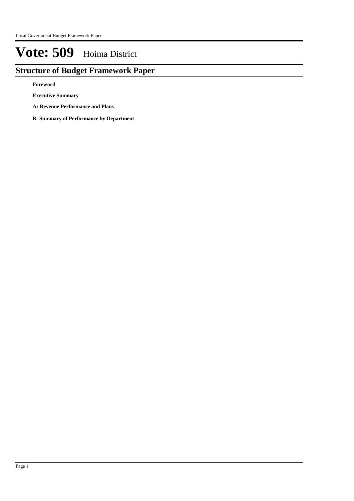# **Structure of Budget Framework Paper**

**Foreword**

**Executive Summary**

**A: Revenue Performance and Plans**

**B: Summary of Performance by Department**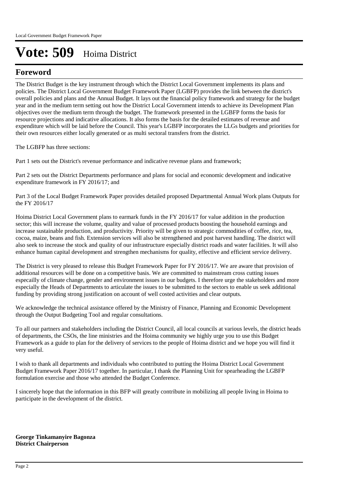## **Foreword**

The District Budget is the key instrument through which the District Local Government implements its plans and policies. The District Local Government Budget Framework Paper (LGBFP) provides the link between the district's overall policies and plans and the Annual Budget. It lays out the financial policy framework and strategy for the budget year and in the medium term setting out how the District Local Government intends to achieve its Development Plan objectives over the medium term through the budget. The framework presented in the LGBFP forms the basis for resource projections and indicative allocations. It also forms the basis for the detailed estimates of revenue and expenditure which will be laid before the Council. This year's LGBFP incorporates the LLGs budgets and priorities for their own resources either locally generated or as multi sectoral transfers from the district.

The LGBFP has three sections:

Part 1 sets out the District's revenue performance and indicative revenue plans and framework;

Part 2 sets out the District Departments performance and plans for social and economic development and indicative expenditure framework in FY 2016/17; and

Part 3 of the Local Budget Framework Paper provides detailed proposed Departmental Annual Work plans Outputs for the FY 2016/17

Hoima District Local Government plans to earmark funds in the FY 2016/17 for value addition in the production sector; this will increase the volume, quality and value of processed products boosting the household earnings and increase sustainable production, and productivity. Priority will be given to strategic commodities of coffee, rice, tea, cocoa, maize, beans and fish. Extension services will also be strengthened and post harvest handling. The district will also seek to increase the stock and quality of our infrastructure especially district roads and water facilities. It will also enhance human capital development and strengthen mechanisms for quality, effective and efficient service delivery.

The District is very pleased to release this Budget Framework Paper for FY 2016/17. We are aware that provision of additional resources will be done on a competitive basis. We are committed to mainstream cross cutting issues especailly of climate change, gender and environment issues in our budgets. I therefore urge the stakeholders and more especially the Heads of Departments to articulate the issues to be submitted to the sectors to enable us seek additional funding by providing strong justification on account of well costed activities and clear outputs.

We acknowledge the technical assistance offered by the Ministry of Finance, Planning and Economic Development through the Output Budgeting Tool and regular consultations.

To all our partners and stakeholders including the District Council, all local councils at various levels, the district heads of departments, the CSOs, the line ministries and the Hoima community we highly urge you to use this Budget Framework as a guide to plan for the delivery of services to the people of Hoima district and we hope you will find it very useful.

I wish to thank all departments and individuals who contributed to putting the Hoima District Local Government Budget Framework Paper 2016/17 together. In particular, I thank the Planning Unit for spearheading the LGBFP formulation exercise and those who attended the Budget Conference.

I sincerely hope that the information in this BFP will greatly contribute in mobilizing all people living in Hoima to participate in the development of the district.

**George Tinkamanyire Bagonza District Chairperson**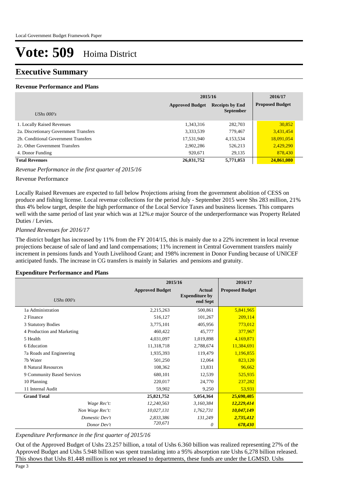## **Executive Summary**

### **Revenue Performance and Plans**

|                                        | 2015/16                                          |                  |                        |
|----------------------------------------|--------------------------------------------------|------------------|------------------------|
|                                        | <b>Receipts by End</b><br><b>Approved Budget</b> |                  | <b>Proposed Budget</b> |
| UShs $000's$                           |                                                  | <b>September</b> |                        |
| 1. Locally Raised Revenues             | 1,343,316                                        | 282,703          | 30,852                 |
| 2a. Discretionary Government Transfers | 3,333,539                                        | 779,467          | 3.431,454              |
| 2b. Conditional Government Transfers   | 17,531,940                                       | 4,153,534        | 18,091,054             |
| 2c. Other Government Transfers         | 2,902,286                                        | 526,213          | 2,429,290              |
| 4. Donor Funding                       | 920.671                                          | 29,135           | 878,430                |
| <b>Total Revenues</b>                  | 26,031,752                                       | 5,771,053        | 24,861,080             |

### *Revenue Performance in the first quarter of 2015/16*

### Revenue Performance

Locally Raised Revenues are expected to fall below Projections arising from the government abolition of CESS on produce and fishing license. Local revenue collections for the period July - September 2015 were Shs 283 million, 21% thus 4% below target, despite the high performance of the Local Service Taxes and business licenses. This compares well with the same period of last year which was at 12%.e major Source of the underperformance was Property Related Duties / Levies.

### *Planned Revenues for 2016/17*

The district budget has increased by 11% from the FY 2014/15, this is mainly due to a 22% increment in local revenue projections because of sale of land and land compensations; 11% increment in Central Government transfers mainly increment in pensions funds and Youth Livelihood Grant; and 198% increment in Donor Funding because of UNICEF anticipated funds. The increase in CG transfers is mainly in Salaries and pensions and gratuity.

#### **Expenditure Performance and Plans**

|                            | 2015/16                |                                                    | 2016/17                |  |
|----------------------------|------------------------|----------------------------------------------------|------------------------|--|
| UShs $000's$               | <b>Approved Budget</b> | <b>Actual</b><br><b>Expenditure by</b><br>end Sept | <b>Proposed Budget</b> |  |
| 1a Administration          | 2,215,263              | 500,861                                            | 5,841,965              |  |
| 2 Finance                  | 516,127                | 101,267                                            | 209,114                |  |
| 3 Statutory Bodies         | 3,775,101              | 405,956                                            | 773,012                |  |
| 4 Production and Marketing | 460,422                | 45,777                                             | 377,967                |  |
| 5 Health                   | 4,031,097              | 1,019,898                                          | 4,169,871              |  |
| 6 Education                | 11,318,718             | 2,788,674                                          | 11,384,691             |  |
| 7a Roads and Engineering   | 1,935,393              | 119,479                                            | 1,196,855              |  |
| 7b Water                   | 501,250                | 12,064                                             | 823,120                |  |
| 8 Natural Resources        | 108,362                | 13,831                                             | 96,662                 |  |
| 9 Community Based Services | 680,101                | 12,539                                             | 525,935                |  |
| 10 Planning                | 220,017                | 24,770                                             | 237,282                |  |
| 11 Internal Audit          | 59,902                 | 9,250                                              | 53,931                 |  |
| <b>Grand Total</b>         | 25,821,752             | 5,054,364                                          | 25,690,405             |  |
| Wage Rec't:                | 12,240,563             | 3,160,384                                          | 12,229,414             |  |
| Non Wage Rec't:            | 10,027,131             | 1,762,731                                          | 10,047,149             |  |
| Domestic Dev't             | 2,833,386              | 131,249                                            | 2,735,412              |  |
| Donor Dev't                | 720,671                | 0                                                  | 678,430                |  |

#### *Expenditure Performance in the first quarter of 2015/16*

Out of the Approved Budget of Ushs 23.257 billion, a total of Ushs 6.360 billion was realized representing 27% of the Approved Budget and Ushs 5.948 billion was spent translating into a 95% absorption rate Ushs 6,278 billion released. This shows that Ushs 81.448 million is not yet released to departments, these funds are under the LGMSD. Ushs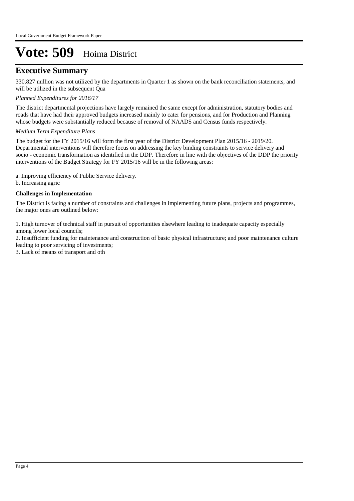## **Executive Summary**

330.827 million was not utilized by the departments in Quarter 1 as shown on the bank reconciliation statements, and will be utilized in the subsequent Qua

### *Planned Expenditures for 2016/17*

The district departmental projections have largely remained the same except for administration, statutory bodies and roads that have had their approved budgets increased mainly to cater for pensions, and for Production and Planning whose budgets were substantially reduced because of removal of NAADS and Census funds respectively.

### *Medium Term Expenditure Plans*

The budget for the FY 2015/16 will form the first year of the District Development Plan 2015/16 - 2019/20. Departmental interventions will therefore focus on addressing the key binding constraints to service delivery and socio - economic transformation as identified in the DDP. Therefore in line with the objectives of the DDP the priority interventions of the Budget Strategy for FY 2015/16 will be in the following areas:

a. Improving efficiency of Public Service delivery.

b. Increasing agric

### **Challenges in Implementation**

The District is facing a number of constraints and challenges in implementing future plans, projects and programmes, the major ones are outlined below:

1. High turnover of technical staff in pursuit of opportunities elsewhere leading to inadequate capacity especially among lower local councils;

2. Insufficient funding for maintenance and construction of basic physical infrastructure; and poor maintenance culture leading to poor servicing of investments;

3. Lack of means of transport and oth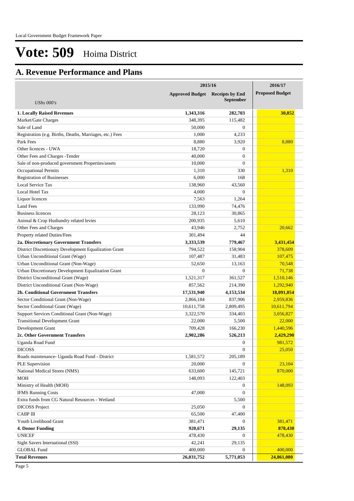# **A. Revenue Performance and Plans**

|                                                          | 2015/16                | 2016/17                |                        |
|----------------------------------------------------------|------------------------|------------------------|------------------------|
|                                                          | <b>Approved Budget</b> | <b>Receipts by End</b> | <b>Proposed Budget</b> |
| UShs $000's$                                             |                        | <b>September</b>       |                        |
| <b>1. Locally Raised Revenues</b>                        | 1,343,316              |                        | 30,852                 |
| Market/Gate Charges                                      | 348,395                | 282,703<br>115,482     |                        |
| Sale of Land                                             | 50,000                 | $\theta$               |                        |
|                                                          |                        |                        |                        |
| Registration (e.g. Births, Deaths, Marriages, etc.) Fees | 1,000<br>8,880         | 4,233<br>3.920         | 8,880                  |
| Park Fees                                                |                        |                        |                        |
| Other licences - UWA                                     | 18,720                 | $\theta$               |                        |
| Other Fees and Charges -Tender                           | 40,000                 | $\theta$               |                        |
| Sale of non-produced government Properties/assets        | 10,000                 | $\overline{0}$         |                        |
| <b>Occupational Permits</b>                              | 1,310                  | 330                    | 1,310                  |
| <b>Registration of Businesses</b>                        | 6,000                  | 168                    |                        |
| Local Service Tax                                        | 138,960                | 43,560                 |                        |
| Local Hotel Tax                                          | 4,000                  | $\theta$               |                        |
| Liquor licences                                          | 7,563                  | 1,264                  |                        |
| Land Fees                                                | 133,990                | 74,476                 |                        |
| <b>Business licences</b>                                 | 28,123                 | 30.865                 |                        |
| Animal & Crop Husbandry related levies                   | 200,935                | 5,610                  |                        |
| Other Fees and Charges                                   | 43.946                 | 2,752                  | 20,662                 |
| Property related Duties/Fees                             | 301,494                | 44                     |                        |
| 2a. Discretionary Government Transfers                   | 3,333,539              | 779,467                | 3,431,454              |
| District Discretionary Development Equalization Grant    | 794,522                | 158,904                | 378,609                |
| Urban Unconditional Grant (Wage)                         | 107,487                | 31,483                 | 107,475                |
| Urban Unconditional Grant (Non-Wage)                     | 52,650                 | 13,163                 | 70,548                 |
| Urban Discretionary Development Equalization Grant       | $\overline{0}$         | $\mathbf{0}$           | 71,738                 |
| District Unconditional Grant (Wage)                      | 1,521,317              | 361,527                | 1,510,146              |
| District Unconditional Grant (Non-Wage)                  | 857,562                | 214,390                | 1,292,940              |
| 2b. Conditional Government Transfers                     | 17,531,940             | 4,153,534              | 18,091,054             |
| Sector Conditional Grant (Non-Wage)                      | 2,866,184              | 837,906                | 2,959,836              |
| Sector Conditional Grant (Wage)                          | 10,611,758             | 2,809,495              | 10,611,794             |
| Support Services Conditional Grant (Non-Wage)            | 3,322,570              | 334,403                | 3,056,827              |
| <b>Transitional Development Grant</b>                    | 22,000                 | 5,500                  | 22,000                 |
| Development Grant                                        | 709,428                | 166,230                | 1,440,596              |
| 2c. Other Government Transfers                           | 2,902,286              | 526,213                | 2,429,290              |
| Uganda Road Fund                                         |                        | $\boldsymbol{0}$       | 981,572                |
| <b>DICOSS</b>                                            |                        | $\boldsymbol{0}$       | 25,050                 |
| Roads maintenance- Uganda Road Fund - District           | 1,581,572              | 205,189                |                        |
| PLE Supervision                                          | 20,000                 | $\boldsymbol{0}$       | 23,104                 |
| National Medical Stores (NMS)                            | 633,600                | 145,721                | 870,000                |
| <b>MOH</b>                                               | 148,093                | 122,403                |                        |
| Ministry of Health (MOH)                                 |                        | $\boldsymbol{0}$       | 148,093                |
| <b>IFMS Running Costs</b>                                | 47,000                 | $\theta$               |                        |
| Extra funds from CG Natural Resources - Wetland          |                        | 5,500                  |                        |
| <b>DICOSS Project</b>                                    | 25,050                 | $\overline{0}$         |                        |
| <b>CAIIP III</b>                                         | 65,500                 | 47,400                 |                        |
| Youth Livelihood Grant                                   | 381,471                | $\Omega$               | 381,471                |
| 4. Donor Funding                                         | 920,671                | 29,135                 | 878,430                |
| <b>UNICEF</b>                                            | 478,430                | $\overline{0}$         | 478,430                |
| Sight Savers International (SSI)                         | 42,241                 | 29,135                 |                        |
| <b>GLOBAL Fund</b>                                       | 400,000                | $\overline{0}$         | 400,000                |
| <b>Total Revenues</b>                                    | 26,031,752             | 5,771,053              | 24,861,080             |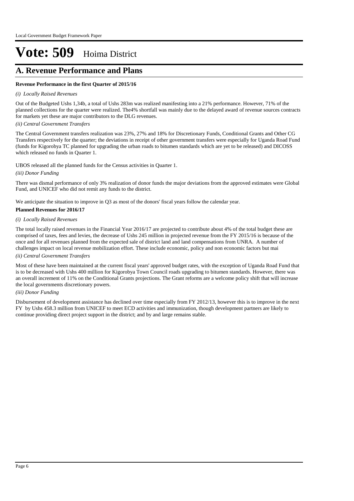# **A. Revenue Performance and Plans**

### **Revenue Performance in the first Quarter of 2015/16**

### *(i) Locally Raised Revenues*

Out of the Budgeted Ushs 1,34b, a total of Ushs 283m was realized manifesting into a 21% performance. However, 71% of the planned collections for the quarter were realized. The4% shortfall was mainly due to the delayed award of revenue sources contracts for markets yet these are major contributors to the DLG revenues.

### *(ii) Central Government Transfers*

The Central Government transfers realization was 23%, 27% and 18% for Discretionary Funds, Conditional Grants and Other CG Transfers respectively for the quarter; the deviations in receipt of other government transfers were especially for Uganda Road Fund (funds for Kigorobya TC planned for upgrading the urban roads to bitumen standards which are yet to be released) and DICOSS which released no funds in Quarter 1.

UBOS released all the planned funds for the Census activities in Quarter 1.

### *(iii) Donor Funding*

There was dismal performance of only 3% realization of donor funds the major deviations from the approved estimates were Global Fund, and UNICEF who did not remit any funds to the district.

We anticipate the situation to improve in Q3 as most of the donors' fiscal years follow the calendar year.

### **Planned Revenues for 2016/17**

### *(i) Locally Raised Revenues*

The total locally raised revenues in the Financial Year 2016/17 are projected to contribute about 4% of the total budget these are comprised of taxes, fees and levies, the decrease of Ushs 245 million in projected revenue from the FY 2015/16 is because of the once and for all revenues planned from the expected sale of district land and land compensations from UNRA. A number of challenges impact on local revenue mobilization effort. These include economic, policy and non economic factors but mai

### *(ii) Central Government Transfers*

Most of these have been maintained at the current fiscal years' approved budget rates, with the exception of Uganda Road Fund that is to be decreased with Ushs 400 million for Kigorobya Town Council roads upgrading to bitumen standards. However, there was an overall increment of 11% on the Conditional Grants projections. The Grant reforms are a welcome policy shift that will increase the local governments discretionary powers.

### *(iii) Donor Funding*

Disbursement of development assistance has declined over time especially from FY 2012/13, however this is to improve in the next FY by Ushs 458.3 million from UNICEF to meet ECD activities and immunization, though development partners are likely to continue providing direct project support in the district; and by and large remains stable.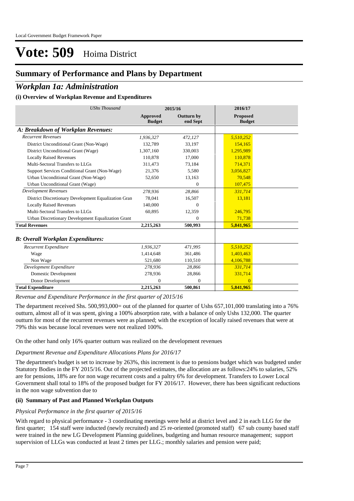## **Summary of Performance and Plans by Department**

## *Workplan 1a: Administration*

### **(i) Overview of Workplan Revenue and Expenditures**

| <b>UShs Thousand</b>                                 |                           | 2015/16                       | 2016/17                          |  |
|------------------------------------------------------|---------------------------|-------------------------------|----------------------------------|--|
|                                                      | Approved<br><b>Budget</b> | <b>Outturn by</b><br>end Sept | <b>Proposed</b><br><b>Budget</b> |  |
| A: Breakdown of Workplan Revenues:                   |                           |                               |                                  |  |
| <b>Recurrent Revenues</b>                            | 1,936,327                 | 472,127                       | 5,510,252                        |  |
| District Unconditional Grant (Non-Wage)              | 132.789                   | 33.197                        | 154,165                          |  |
| District Unconditional Grant (Wage)                  | 1,307,160                 | 330,003                       | 1,295,989                        |  |
| <b>Locally Raised Revenues</b>                       | 110,878                   | 17,000                        | 110,878                          |  |
| Multi-Sectoral Transfers to LLGs                     | 311,473                   | 73,184                        | 714,371                          |  |
| Support Services Conditional Grant (Non-Wage)        | 21,376                    | 5,580                         | 3,056,827                        |  |
| Urban Unconditional Grant (Non-Wage)                 | 52,650                    | 13,163                        | 70,548                           |  |
| Urban Unconditional Grant (Wage)                     |                           | $\mathbf{0}$                  | 107,475                          |  |
| <b>Development Revenues</b>                          | 278.936                   | 28,866                        | 331,714                          |  |
| District Discretionary Development Equalization Gran | 78.041                    | 16,507                        | 13,181                           |  |
| <b>Locally Raised Revenues</b>                       | 140,000                   | $\Omega$                      |                                  |  |
| Multi-Sectoral Transfers to LLGs                     | 60,895                    | 12,359                        | 246,795                          |  |
| Urban Discretionary Development Equalization Grant   |                           | $\theta$                      | 71,738                           |  |
| <b>Total Revenues</b>                                | 2,215,263                 | 500,993                       | 5,841,965                        |  |
| <b>B: Overall Workplan Expenditures:</b>             |                           |                               |                                  |  |
| Recurrent Expenditure                                | 1,936,327                 | 471,995                       | 5,510,252                        |  |
| Wage                                                 | 1.414.648                 | 361,486                       | 1,403,463                        |  |
| Non Wage                                             | 521,680                   | 110,510                       | 4,106,788                        |  |
| Development Expenditure                              | 278,936                   | 28,866                        | 331,714                          |  |
| <b>Domestic Development</b>                          | 278,936                   | 28,866                        | 331,714                          |  |
| Donor Development                                    | $\mathbf{0}$              | $\mathbf{0}$                  | $\Omega$                         |  |
| <b>Total Expenditure</b>                             | 2,215,263                 | 500,861                       | 5,841,965                        |  |

*Revenue and Expenditure Performance in the first quarter of 2015/16*

The department received Shs. 500,993,000= out of the planned for quarter of Ushs 657,101,000 translating into a 76% outturn, almost all of it was spent, giving a 100% absorption rate, with a balance of only Ushs 132,000. The quarter outturn for most of the recurrent revenues were as planned; with the exception of locally raised revenues that were at 79% this was because local revenues were not realized 100%.

On the other hand only 16% quarter outturn was realized on the development revenues

### *Department Revenue and Expenditure Allocations Plans for 2016/17*

The department's budget is set to increase by 263%, this increment is due to pensions budget which was budgeted under Statutory Bodies in the FY 2015/16. Out of the projected estimates, the allocation are as follows:24% to salaries, 52% are for pensions, 18% are for non wage recurrent costs and a paltry 6% for development. Transfers to Lower Local Government shall total to 18% of the proposed budget for FY 2016/17. However, there has been significant reductions in the non wage subvention due to

### **(ii) Summary of Past and Planned Workplan Outputs**

#### *Physical Performance in the first quarter of 2015/16*

With regard to physical performance - 3 coordinating meetings were held at district level and 2 in each LLG for the first quarter; 154 staff were inducted (newly recruited) and 25 re-oriented (promoted staff) 67 sub county based staff were trained in the new LG Development Planning guidelines, budgeting and human resource management; support supervision of LLGs was conducted at least 2 times per LLG.; monthly salaries and pension were paid;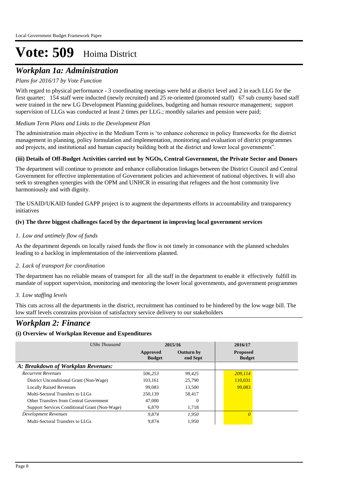## *Workplan 1a: Administration*

### *Plans for 2016/17 by Vote Function*

With regard to physical performance - 3 coordinating meetings were held at district level and 2 in each LLG for the first quarter; 154 staff were inducted (newly recruited) and 25 re-oriented (promoted staff) 67 sub county based staff were trained in the new LG Development Planning guidelines, budgeting and human resource management; support supervision of LLGs was conducted at least 2 times per LLG.; monthly salaries and pension were paid;

### *Medium Term Plans and Links to the Development Plan*

The administration main objective in the Medium Term is 'to enhance coherence in policy frameworks for the district management in planning, policy formulation and implementation, monitoring and evaluation of district programmes and projects, and institutional and human capacity building both at the district and lower local governments".

### **(iii) Details of Off-Budget Activities carried out by NGOs, Central Government, the Private Sector and Donors**

The department will continue to promote and enhance collaboration linkages between the District Council and Central Government for effective implementation of Government policies and achievement of national objectives. It will also seek to strengthen synergies with the OPM and UNHCR in ensuring that refugees and the host community live harmoniously and with dignity.

The USAID/UKAID funded GAPP project is to augment the departments efforts in accountability and transparency initiatives

### **(iv) The three biggest challenges faced by the department in improving local government services**

### *Low and untimely flow of funds 1.*

As the department depends on locally raised funds the flow is not timely in consonance with the planned schedules leading to a backlog in implementation of the interventions planned.

### *Lack of transport for coordination 2.*

The department has no reliable means of transport for all the staff in the department to enable it effectively fulfill its mandate of support supervision, monitoring and mentoring the lower local governments, and government programmes

### *Low staffing levels 3.*

This cuts across all the departments in the district, recruitment has continued to be hindered by the low wage bill. The low staff levels constrains provision of satisfactory service delivery to our stakeholders

## *Workplan 2: Finance*

| UShs Thousand                                 | 2015/16                   |                               | 2016/17                          |
|-----------------------------------------------|---------------------------|-------------------------------|----------------------------------|
|                                               | Approved<br><b>Budget</b> | <b>Outturn by</b><br>end Sept | <b>Proposed</b><br><b>Budget</b> |
| A: Breakdown of Workplan Revenues:            |                           |                               |                                  |
| <b>Recurrent Revenues</b>                     | 506.253                   | 99.425                        | 209,114                          |
| District Unconditional Grant (Non-Wage)       | 103,161                   | 25,790                        | 110,031                          |
| <b>Locally Raised Revenues</b>                | 99,083                    | 13,500                        | 99,083                           |
| Multi-Sectoral Transfers to LLGs              | 250,139                   | 58.417                        |                                  |
| Other Transfers from Central Government       | 47,000                    | $\Omega$                      |                                  |
| Support Services Conditional Grant (Non-Wage) | 6.870                     | 1.718                         |                                  |
| Development Revenues                          | 9.874                     | 1.950                         | 0                                |
| Multi-Sectoral Transfers to LLGs              | 9.874                     | 1.950                         |                                  |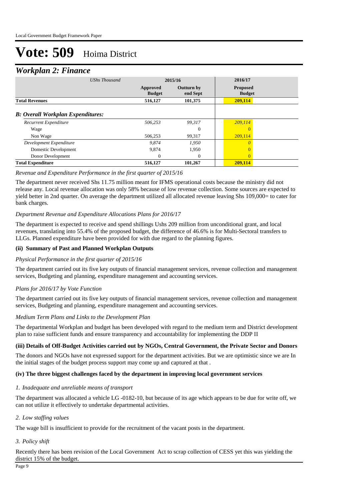## *Workplan 2: Finance*

| ┻<br><b>UShs Thousand</b>                |                           |                               | 2016/17                          |  |
|------------------------------------------|---------------------------|-------------------------------|----------------------------------|--|
|                                          |                           | 2015/16                       |                                  |  |
|                                          | Approved<br><b>Budget</b> | <b>Outturn by</b><br>end Sept | <b>Proposed</b><br><b>Budget</b> |  |
| <b>Total Revenues</b>                    | 516,127                   | 101,375                       | 209,114                          |  |
| <b>B: Overall Workplan Expenditures:</b> |                           |                               |                                  |  |
| Recurrent Expenditure                    | 506.253                   | 99.317                        | 209,114                          |  |
| Wage                                     |                           | $\Omega$                      |                                  |  |
| Non Wage                                 | 506,253                   | 99,317                        | 209,114                          |  |
| Development Expenditure                  | 9.874                     | 1,950                         |                                  |  |
| Domestic Development                     | 9,874                     | 1,950                         | $\Omega$                         |  |
| Donor Development                        | $\Omega$                  | $\Omega$                      | $\Omega$                         |  |
| <b>Total Expenditure</b>                 | 516,127                   | 101,267                       | 209,114                          |  |

### *Revenue and Expenditure Performance in the first quarter of 2015/16*

The department never received Shs 11.75 million meant for IFMS operational costs because the ministry did not release any. Local revenue allocation was only 58% because of low revenue collection. Some sources are expected to yield better in 2nd quarter. On average the department utilized all allocated revenue leaving Shs 109,000= to cater for bank charges.

### *Department Revenue and Expenditure Allocations Plans for 2016/17*

The department is expected to receive and spend shillings Ushs 209 million from unconditional grant, and local revenues, translating into 55.4% of the proposed budget, the difference of 46.6% is for Multi-Sectoral transfers to LLGs. Planned expenditure have been provided for with due regard to the planning figures.

### **(ii) Summary of Past and Planned Workplan Outputs**

### *Physical Performance in the first quarter of 2015/16*

The department carried out its five key outputs of financial management services, revenue collection and management services, Budgeting and planning, expenditure management and accounting services.

### *Plans for 2016/17 by Vote Function*

The department carried out its five key outputs of financial management services, revenue collection and management services, Budgeting and planning, expenditure management and accounting services.

#### *Medium Term Plans and Links to the Development Plan*

The departmental Workplan and budget has been developed with regard to the medium term and District development plan to raise sufficient funds and ensure transparency and accountability for implementing the DDP II

### **(iii) Details of Off-Budget Activities carried out by NGOs, Central Government, the Private Sector and Donors**

The donors and NGOs have not expressed support for the department activities. But we are optimistic since we are In the initial stages of the budget process support may come up and captured at that .

### **(iv) The three biggest challenges faced by the department in improving local government services**

### *Inadequate and unreliable means of transport 1.*

The department was allocated a vehicle LG -0182-10, but because of its age which appears to be due for write off, we can not utilize it effectively to undertake departmental activities.

### *Low staffing values 2.*

The wage bill is insufficient to provide for the recruitment of the vacant posts in the department.

### *Policy shift 3.*

Recently there has been revision of the Local Government Act to scrap collection of CESS yet this was yielding the district 15% of the budget.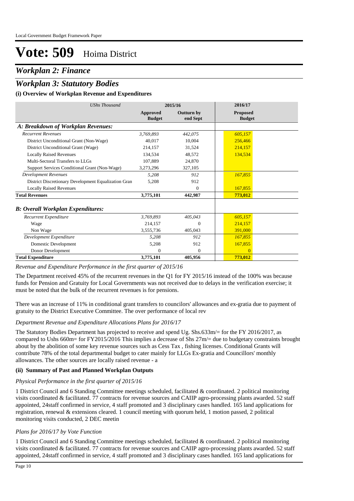## *Workplan 2: Finance*

## *Workplan 3: Statutory Bodies*

### **(i) Overview of Workplan Revenue and Expenditures**

| <b>UShs Thousand</b>                                 |                           | 2015/16                       | 2016/17                          |
|------------------------------------------------------|---------------------------|-------------------------------|----------------------------------|
|                                                      | Approved<br><b>Budget</b> | <b>Outturn by</b><br>end Sept | <b>Proposed</b><br><b>Budget</b> |
| A: Breakdown of Workplan Revenues:                   |                           |                               |                                  |
| <b>Recurrent Revenues</b>                            | 3.769.893                 | 442,075                       | 605,157                          |
| District Unconditional Grant (Non-Wage)              | 40.017                    | 10.004                        | 256,466                          |
| District Unconditional Grant (Wage)                  | 214,157                   | 31,524                        | 214,157                          |
| <b>Locally Raised Revenues</b>                       | 134.534                   | 48,572                        | 134,534                          |
| Multi-Sectoral Transfers to LLGs                     | 107,889                   | 24,870                        |                                  |
| Support Services Conditional Grant (Non-Wage)        | 3,273,296                 | 327,105                       |                                  |
| <b>Development Revenues</b>                          | 5,208                     | 912                           | 167,855                          |
| District Discretionary Development Equalization Gran | 5,208                     | 912                           |                                  |
| <b>Locally Raised Revenues</b>                       |                           | $\Omega$                      | 167,855                          |
| <b>Total Revenues</b>                                | 3,775,101                 | 442,987                       | 773,012                          |
| <b>B</b> : Overall Workplan Expenditures:            |                           |                               |                                  |
| Recurrent Expenditure                                | 3,769,893                 | 405,043                       | 605,157                          |
| Wage                                                 | 214.157                   | $\Omega$                      | 214,157                          |
| Non Wage                                             | 3,555,736                 | 405,043                       | 391,000                          |
| Development Expenditure                              | 5,208                     | 912                           | 167,855                          |
| Domestic Development                                 | 5,208                     | 912                           | 167,855                          |
| Donor Development                                    | $\Omega$                  | 0                             | $\Omega$                         |
| <b>Total Expenditure</b>                             | 3,775,101                 | 405,956                       | 773,012                          |

#### *Revenue and Expenditure Performance in the first quarter of 2015/16*

The Department received 45% of the recurrent revenues in the Q1 for FY 2015/16 instead of the 100% was because funds for Pension and Gratuity for Local Governments was not received due to delays in the verification exercise; it must be noted that the bulk of the recurrent revenues is for pensions.

There was an increase of 11% in conditional grant transfers to councilors' allowances and ex-gratia due to payment of gratuity to the District Executive Committee. The over performance of local rev

### *Department Revenue and Expenditure Allocations Plans for 2016/17*

The Statutory Bodies Department has projected to receive and spend Ug. Shs.633m/= for the FY 2016/2017, as compared to Ushs 660m= for FY2015/2016 This implies a decrease of Shs 27m/= due to budgetary constraints brought about by the abolition of some key revenue sources such as Cess Tax , fishing licenses. Conditional Grants will contribute 78% of the total departmental budget to cater mainly for LLGs Ex-gratia and Councillors' monthly allowances. The other sources are locally raised revenue - a

### **(ii) Summary of Past and Planned Workplan Outputs**

### *Physical Performance in the first quarter of 2015/16*

1 District Council and 6 Standing Committee meetings scheduled, facilitated & coordinated. 2 political monitoring visits coordinated & facilitated. 77 contracts for revenue sources and CAIIP agro-processing plants awarded. 52 staff appointed, 24staff confirmed in service, 4 staff promoted and 3 disciplinary cases handled. 165 land applications for registration, renewal & extensions cleared. 1 council meeting with quorum held, 1 motion passed, 2 political monitoring visits conducted, 2 DEC meetin

### *Plans for 2016/17 by Vote Function*

1 District Council and 6 Standing Committee meetings scheduled, facilitated & coordinated. 2 political monitoring visits coordinated & facilitated. 77 contracts for revenue sources and CAIIP agro-processing plants awarded. 52 staff appointed, 24staff confirmed in service, 4 staff promoted and 3 disciplinary cases handled. 165 land applications for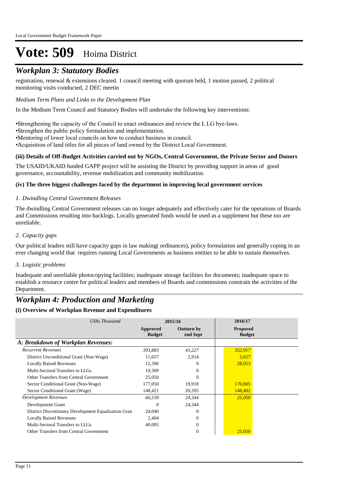## *Workplan 3: Statutory Bodies*

registration, renewal & extensions cleared. 1 council meeting with quorum held, 1 motion passed, 2 political monitoring visits conducted, 2 DEC meetin

### *Medium Term Plans and Links to the Development Plan*

In the Medium Term Council and Statutory Bodies will undertake the following key interventions:

• Strengthening the capacity of the Council to enact ordinances and review the L LG bye-laws.

•Strengthen the public policy formulation and implementation.

• Mentoring of lower local councils on how to conduct business in council.

• Acquisition of land titles for all pieces of land owned by the District Local Government.

### **(iii) Details of Off-Budget Activities carried out by NGOs, Central Government, the Private Sector and Donors**

The USAID/UKAID funded GAPP project will be assisting the District by providing support in areas of good governance, accountability, revenue mobilization and community mobilization.

### **(iv) The three biggest challenges faced by the department in improving local government services**

### *Dwindling Central Government Releases 1.*

The dwindling Central Government releases can no longer adequately and effectively cater for the operations of Boards and Commissions resulting into backlogs. Locally generated funds would be used as a supplement but these too are unreliable.

### *Capacity gaps 2.*

Our political leaders still have capacity gaps in law making( ordinances), policy formulation and generally coping in an ever changing world that requires running Local Governments as business entities to be able to sustain themselves.

### *Logistic problems 3.*

Inadequate and unreliable photocopying facilities; inadequate storage facilities for documents; inadequate space to establish a resource centre for political leaders and members of Boards and commissions constrain the activities of the Department.

## *Workplan 4: Production and Marketing*

| UShs Thousand                                        | 2015/16                   |                               | 2016/17                          |  |
|------------------------------------------------------|---------------------------|-------------------------------|----------------------------------|--|
|                                                      | Approved<br><b>Budget</b> | <b>Outturn by</b><br>end Sept | <b>Proposed</b><br><b>Budget</b> |  |
| A: Breakdown of Workplan Revenues:                   |                           |                               |                                  |  |
| <b>Recurrent Revenues</b>                            | 393,883                   | 43,227                        | 352,917                          |  |
| District Unconditional Grant (Non-Wage)              | 11,657                    | 2,914                         | 5,657                            |  |
| <b>Locally Raised Revenues</b>                       | 12,396                    |                               | 28,053                           |  |
| Multi-Sectoral Transfers to LLGs                     | 19,309                    | 0                             |                                  |  |
| Other Transfers from Central Government              | 25,050                    |                               |                                  |  |
| Sector Conditional Grant (Non-Wage)                  | 177,050                   | 19,918                        | 170,805                          |  |
| Sector Conditional Grant (Wage)                      | 148,421                   | 20,395                        | 148,402                          |  |
| Development Revenues                                 | 66,539                    | 24,344                        | 25,050                           |  |
| Development Grant                                    | $\Omega$                  | 24,344                        |                                  |  |
| District Discretionary Development Equalization Gran | 24,040                    |                               |                                  |  |
| <b>Locally Raised Revenues</b>                       | 2,404                     | 0                             |                                  |  |
| Multi-Sectoral Transfers to LLGs                     | 40,095                    | $\Omega$                      |                                  |  |
| Other Transfers from Central Government              |                           | $\Omega$                      | 25,050                           |  |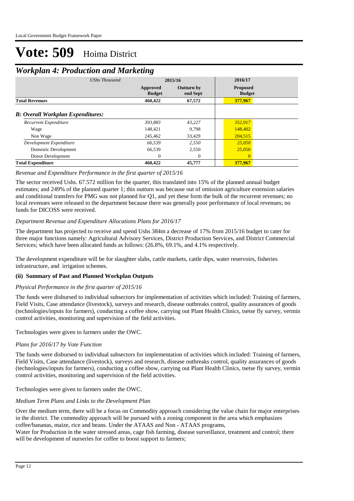## *Workplan 4: Production and Marketing*

| -<br><b>UShs Thousand</b>                | 2015/16                   |                               | 2016/17                          |  |
|------------------------------------------|---------------------------|-------------------------------|----------------------------------|--|
|                                          | Approved<br><b>Budget</b> | <b>Outturn by</b><br>end Sept | <b>Proposed</b><br><b>Budget</b> |  |
| <b>Total Revenues</b>                    | 460,422                   | 67,572                        | 377,967                          |  |
| <b>B:</b> Overall Workplan Expenditures: |                           |                               |                                  |  |
| Recurrent Expenditure                    | 393,883                   | 43,227                        | 352,917                          |  |
| Wage                                     | 148.421                   | 9.798                         | 148,402                          |  |
| Non Wage                                 | 245,462                   | 33,429                        | 204,515                          |  |
| Development Expenditure                  | 66.539                    | 2,550                         | 25,050                           |  |
| Domestic Development                     | 66,539                    | 2,550                         | 25,050                           |  |
| Donor Development                        | $\Omega$                  | $\overline{0}$                | $\Omega$                         |  |
| <b>Total Expenditure</b>                 | 460,422                   | 45,777                        | 377,967                          |  |

### *Revenue and Expenditure Performance in the first quarter of 2015/16*

The sector received Ushs. 67.572 million for the quarter, this translated into 15% of the planned annual budget estimates; and 249% of the planned quarter 1; this outturn was because out of omission agriculture extension salaries and conditional transfers for PMG was not planned for Q1, and yet these form the bulk of the recurrent revenues; no local revenues were released to the department because there was generally poor performance of local revenues; no funds for DICOSS were received.

### *Department Revenue and Expenditure Allocations Plans for 2016/17*

The department has projected to receive and spend Ushs 384m a decrease of 17% from 2015/16 budget to cater for three major functions namely: Agricultural Advisory Services, District Production Services, and District Commercial Services; which have been allocated funds as follows: (26.8%, 69.1%, and 4.1% respectively.

The development expenditure will be for slaughter slabs, cattle markets, cattle dips, water reservoirs, fisheries infrastructure, and irrigation schemes.

### **(ii) Summary of Past and Planned Workplan Outputs**

#### *Physical Performance in the first quarter of 2015/16*

The funds were disbursed to individual subsectors for implementation of activities which included: Training of farmers, Field Visits, Case attendance (livestock), surveys and research, disease outbreaks control, quality assurances of goods (technologies/inputs for farmers), conducting a coffee show, carrying out Plant Health Clinics, tsetse fly survey, vermin control activities, monitoring and supervision of the field activities.

Technologies were given to farmers under the OWC.

### *Plans for 2016/17 by Vote Function*

The funds were disbursed to individual subsectors for implementation of activities which included: Training of farmers, Field Visits, Case attendance (livestock), surveys and research, disease outbreaks control, quality assurances of goods (technologies/inputs for farmers), conducting a coffee show, carrying out Plant Health Clinics, tsetse fly survey, vermin control activities, monitoring and supervision of the field activities.

Technologies were given to farmers under the OWC.

### *Medium Term Plans and Links to the Development Plan*

Over the medium term, there will be a focus on Commodity approach considering the value chain for major enterprises in the district. The commodity approach will be pursued with a zoning component in the area which emphasizes coffee/bananas, maize, rice and beans. Under the ATAAS and Non - ATAAS programs,

Water for Production in the water stressed areas, cage fish farming, disease surveillance, treatment and control; there will be development of nurseries for coffee to boost support to farmers;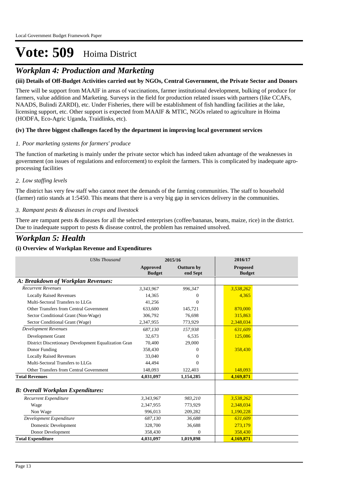# *Workplan 4: Production and Marketing*

### **(iii) Details of Off-Budget Activities carried out by NGOs, Central Government, the Private Sector and Donors**

There will be support from MAAIF in areas of vaccinations, farmer institutional development, bulking of produce for farmers, value addition and Marketing. Surveys in the field for production related issues with partners (like CCAFs, NAADS, Bulindi ZARDI), etc. Under Fisheries, there will be establishment of fish handling facilities at the lake, licensing support, etc. Other support is expected from MAAIF & MTIC, NGOs related to agriculture in Hoima (HODFA, Eco-Agric Uganda, Traidlinks, etc).

### **(iv) The three biggest challenges faced by the department in improving local government services**

### *Poor marketing systems for farmers' produce 1.*

The function of marketing is mainly under the private sector which has indeed taken advantage of the weaknesses in government (on issues of regulations and enforcement) to exploit the farmers. This is complicated by inadequate agroprocessing facilities

### *Low staffing levels 2.*

The district has very few staff who cannot meet the demands of the farming communities. The staff to household (farmer) ratio stands at 1:5450. This means that there is a very big gap in services delivery in the communities.

### *Rampant pests & diseases in crops and livestock 3.*

There are rampant pests & diseases for all the selected enterprises (coffee/bananas, beans, maize, rice) in the district. Due to inadequate support to pests & disease control, the problem has remained unsolved.

# *Workplan 5: Health*

| <b>UShs Thousand</b>                                 |                           | 2015/16                       | 2016/17                          |  |
|------------------------------------------------------|---------------------------|-------------------------------|----------------------------------|--|
|                                                      | Approved<br><b>Budget</b> | <b>Outturn by</b><br>end Sept | <b>Proposed</b><br><b>Budget</b> |  |
| A: Breakdown of Workplan Revenues:                   |                           |                               |                                  |  |
| <b>Recurrent Revenues</b>                            | 3,343,967                 | 996,347                       | 3,538,262                        |  |
| <b>Locally Raised Revenues</b>                       | 14,365                    | $\Omega$                      | 4,365                            |  |
| Multi-Sectoral Transfers to LLGs                     | 41,256                    | $\Omega$                      |                                  |  |
| Other Transfers from Central Government              | 633,600                   | 145,721                       | 870,000                          |  |
| Sector Conditional Grant (Non-Wage)                  | 306.792                   | 76.698                        | 315,863                          |  |
| Sector Conditional Grant (Wage)                      | 2,347,955                 | 773,929                       | 2,348,034                        |  |
| <b>Development Revenues</b>                          | 687.130                   | 157,938                       | 631,609                          |  |
| Development Grant                                    | 32,673                    | 6,535                         | 125,086                          |  |
| District Discretionary Development Equalization Gran | 70,400                    | 29,000                        |                                  |  |
| Donor Funding                                        | 358,430                   | $\Omega$                      | 358,430                          |  |
| <b>Locally Raised Revenues</b>                       | 33,040                    | $^{(1)}$                      |                                  |  |
| Multi-Sectoral Transfers to LLGs                     | 44.494                    | $\Omega$                      |                                  |  |
| Other Transfers from Central Government              | 148,093                   | 122,403                       | 148,093                          |  |
| <b>Total Revenues</b>                                | 4,031,097                 | 1,154,285                     | 4,169,871                        |  |
| <b>B: Overall Workplan Expenditures:</b>             |                           |                               |                                  |  |
| Recurrent Expenditure                                | 3,343,967                 | 983,210                       | 3,538,262                        |  |
| Wage                                                 | 2,347,955                 | 773,929                       | 2,348,034                        |  |
| Non Wage                                             | 996.013                   | 209,282                       | 1,190,228                        |  |
| Development Expenditure                              | 687,130                   | 36,688                        | 631,609                          |  |
| <b>Domestic Development</b>                          | 328,700                   | 36,688                        | 273,179                          |  |
| Donor Development                                    | 358,430                   | $\Omega$                      | 358,430                          |  |
| <b>Total Expenditure</b>                             | 4,031,097                 | 1,019,898                     | 4,169,871                        |  |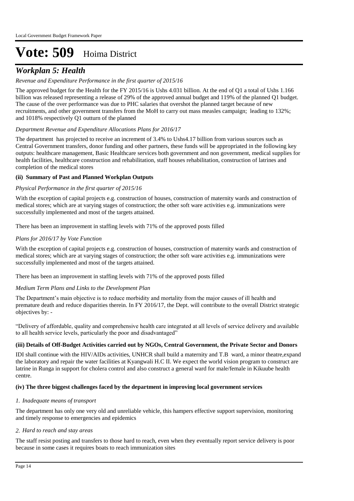## *Workplan 5: Health*

### *Revenue and Expenditure Performance in the first quarter of 2015/16*

The approved budget for the Health for the FY 2015/16 is Ushs 4.031 billion. At the end of Q1 a total of Ushs 1.166 billion was released representing a release of 29% of the approved annual budget and 119% of the planned Q1 budget. The cause of the over performance was due to PHC salaries that overshot the planned target because of new recruitments, and other government transfers from the MoH to carry out mass measles campaign; leading to 132%; and 1018% respectively Q1 outturn of the planned

### *Department Revenue and Expenditure Allocations Plans for 2016/17*

The department has projected to receive an increment of 3.4% to Ushs4.17 billion from various sources such as Central Government transfers, donor funding and other partners, these funds will be appropriated in the following key outputs: healthcare management, Basic Healthcare services both government and non government, medical supplies for health facilities, healthcare construction and rehabilitation, staff houses rehabilitation, construction of latrines and completion of the medical stores

### **(ii) Summary of Past and Planned Workplan Outputs**

### *Physical Performance in the first quarter of 2015/16*

With the exception of capital projects e.g. construction of houses, construction of maternity wards and construction of medical stores; which are at varying stages of construction; the other soft ware activities e.g. immunizations were successfully implemented and most of the targets attained.

There has been an improvement in staffing levels with 71% of the approved posts filled

### *Plans for 2016/17 by Vote Function*

With the exception of capital projects e.g. construction of houses, construction of maternity wards and construction of medical stores; which are at varying stages of construction; the other soft ware activities e.g. immunizations were successfully implemented and most of the targets attained.

There has been an improvement in staffing levels with 71% of the approved posts filled

### *Medium Term Plans and Links to the Development Plan*

The Department's main objective is to reduce morbidity and mortality from the major causes of ill health and premature death and reduce disparities therein. In FY 2016/17, the Dept. will contribute to the overall District strategic objectives by: -

"Delivery of affordable, quality and comprehensive health care integrated at all levels of service delivery and available to all health service levels, particularly the poor and disadvantaged"

### **(iii) Details of Off-Budget Activities carried out by NGOs, Central Government, the Private Sector and Donors**

IDI shall continue with the HIV/AIDs activities, UNHCR shall build a maternity and T.B ward, a minor theatre,expand the laboratory and repair the water facilities at Kyangwali H.C II. We expect the world vision program to construct are latrine in Runga in support for cholera control and also construct a general ward for male/female in Kikuube health centre.

### **(iv) The three biggest challenges faced by the department in improving local government services**

#### *Inadequate means of transport 1.*

The department has only one very old and unreliable vehicle, this hampers effective support supervision, monitoring and timely response to emergencies and epidemics

#### *Hard to reach and stay areas 2.*

The staff resist posting and transfers to those hard to reach, even when they eventually report service delivery is poor because in some cases it requires boats to reach immunization sites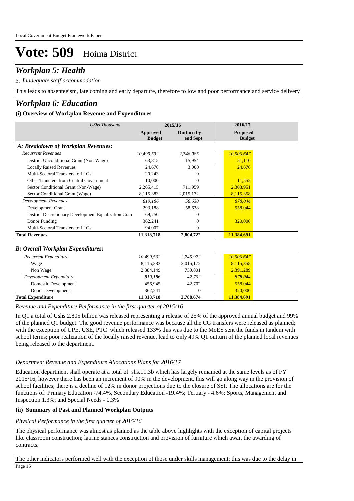## *Workplan 5: Health*

### *Inadequate staff accommodation 3.*

This leads to absenteeism, late coming and early departure, therefore to low and poor performance and service delivery

### *Workplan 6: Education*

### **(i) Overview of Workplan Revenue and Expenditures**

| <b>UShs Thousand</b>                                 |                                  | 2015/16                       | 2016/17                   |  |
|------------------------------------------------------|----------------------------------|-------------------------------|---------------------------|--|
|                                                      | <b>Approved</b><br><b>Budget</b> | <b>Outturn by</b><br>end Sept | Proposed<br><b>Budget</b> |  |
| A: Breakdown of Workplan Revenues:                   |                                  |                               |                           |  |
| <b>Recurrent Revenues</b>                            | 10.499.532                       | 2,746,085                     | 10,506,647                |  |
| District Unconditional Grant (Non-Wage)              | 63,815                           | 15,954                        | 51,110                    |  |
| <b>Locally Raised Revenues</b>                       | 24,676                           | 3,000                         | 24,676                    |  |
| Multi-Sectoral Transfers to LLGs                     | 20.243                           | 0                             |                           |  |
| Other Transfers from Central Government              | 10.000                           | $\Omega$                      | 11,552                    |  |
| Sector Conditional Grant (Non-Wage)                  | 2,265,415                        | 711,959                       | 2,303,951                 |  |
| Sector Conditional Grant (Wage)                      | 8,115,383                        | 2,015,172                     | 8,115,358                 |  |
| <b>Development Revenues</b>                          | 819,186                          | 58,638                        | 878,044                   |  |
| Development Grant                                    | 293,188                          | 58,638                        | 558,044                   |  |
| District Discretionary Development Equalization Gran | 69,750                           | 0                             |                           |  |
| Donor Funding                                        | 362,241                          | 0                             | 320,000                   |  |
| Multi-Sectoral Transfers to LLGs                     | 94,007                           | $\Omega$                      |                           |  |
| <b>Total Revenues</b>                                | 11,318,718                       | 2,804,722                     | 11,384,691                |  |
| <b>B: Overall Workplan Expenditures:</b>             |                                  |                               |                           |  |
| Recurrent Expenditure                                | 10,499,532                       | 2,745,972                     | 10,506,647                |  |
| Wage                                                 | 8,115,383                        | 2,015,172                     | 8,115,358                 |  |
| Non Wage                                             | 2.384.149                        | 730,801                       | 2,391,289                 |  |
| Development Expenditure                              | 819.186                          | 42.702                        | 878,044                   |  |
| <b>Domestic Development</b>                          | 456,945                          | 42,702                        | 558,044                   |  |
| Donor Development                                    | 362,241                          | $\overline{0}$                | 320,000                   |  |
| <b>Total Expenditure</b>                             | 11,318,718                       | 2,788,674                     | 11,384,691                |  |

*Revenue and Expenditure Performance in the first quarter of 2015/16*

In Q1 a total of Ushs 2.805 billion was released representing a release of 25% of the approved annual budget and 99% of the planned Q1 budget. The good revenue performance was because all the CG transfers were released as planned; with the exception of UPE, USE, PTC which released 133% this was due to the MoES sent the funds in tandem with school terms; poor realization of the locally raised revenue, lead to only 49% Q1 outturn of the planned local revenues being released to the department.

#### *Department Revenue and Expenditure Allocations Plans for 2016/17*

Education department shall operate at a total of shs.11.3b which has largely remained at the same levels as of FY 2015/16, however there has been an increment of 90% in the development, this will go along way in the provision of school facilities; there is a decline of 12% in donor projections due to the closure of SSI. The allocations are for the functions of: Primary Education -74.4%, Secondary Education -19.4%; Tertiary - 4.6%; Sports, Management and Inspection 1.3%; and Special Needs - 0.3%

### **(ii) Summary of Past and Planned Workplan Outputs**

#### *Physical Performance in the first quarter of 2015/16*

The physical performance was almost as planned as the table above highlights with the exception of capital projects like classroom construction; latrine stances construction and provision of furniture which await the awarding of contracts.

The other indicators performed well with the exception of those under skills management; this was due to the delay in Page 15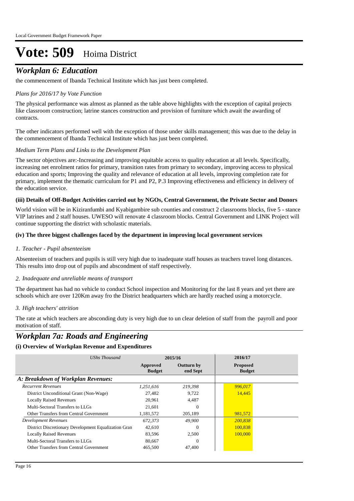## *Workplan 6: Education*

the commencement of Ibanda Technical Institute which has just been completed.

### *Plans for 2016/17 by Vote Function*

The physical performance was almost as planned as the table above highlights with the exception of capital projects like classroom construction; latrine stances construction and provision of furniture which await the awarding of contracts.

The other indicators performed well with the exception of those under skills management; this was due to the delay in the commencement of Ibanda Technical Institute which has just been completed.

### *Medium Term Plans and Links to the Development Plan*

The sector objectives are:-Increasing and improving equitable access to quality education at all levels. Specifically, increasing net enrolment ratios for primary, transition rates from primary to secondary, improving access to physical education and sports; Improving the quality and relevance of education at all levels, improving completion rate for primary, implement the thematic curriculum for P1 and P2, P.3 Improving effectiveness and efficiency in delivery of the education service.

### **(iii) Details of Off-Budget Activities carried out by NGOs, Central Government, the Private Sector and Donors**

World vision will be in Kiziranfumbi and Kyabigambire sub counties and construct 2 classrooms blocks, five 5 - stance VIP latrines and 2 staff houses. UWESO will renovate 4 classroom blocks. Central Government and LINK Project will continue supporting the district with scholastic materials.

### **(iv) The three biggest challenges faced by the department in improving local government services**

### *Teacher - Pupil absenteeism 1.*

Absenteeism of teachers and pupils is still very high due to inadequate staff houses as teachers travel long distances. This results into drop out of pupils and abscondment of staff respectively.

#### *Inadequate and unreliable means of transport 2.*

The department has had no vehicle to conduct School inspection and Monitoring for the last 8 years and yet there are schools which are over 120Km away fro the District headquarters which are hardly reached using a motorcycle.

### *High teachers' attrition 3.*

The rate at which teachers are absconding duty is very high due to un clear deletion of staff from the payroll and poor motivation of staff.

## *Workplan 7a: Roads and Engineering*

| UShs Thousand                                        |                           | 2015/16                       | 2016/17                          |
|------------------------------------------------------|---------------------------|-------------------------------|----------------------------------|
|                                                      | Approved<br><b>Budget</b> | <b>Outturn by</b><br>end Sept | <b>Proposed</b><br><b>Budget</b> |
| A: Breakdown of Workplan Revenues:                   |                           |                               |                                  |
| <b>Recurrent Revenues</b>                            | 1.251.616                 | 219,398                       | 996,017                          |
| District Unconditional Grant (Non-Wage)              | 27,482                    | 9.722                         | 14,445                           |
| <b>Locally Raised Revenues</b>                       | 20.961                    | 4.487                         |                                  |
| Multi-Sectoral Transfers to LLGs                     | 21.601                    | $\Omega$                      |                                  |
| Other Transfers from Central Government              | 1,181,572                 | 205,189                       | 981,572                          |
| Development Revenues                                 | 672.373                   | 49,900                        | 200.838                          |
| District Discretionary Development Equalization Gran | 42.610                    | $\Omega$                      | 100,838                          |
| <b>Locally Raised Revenues</b>                       | 83,596                    | 2.500                         | 100,000                          |
| Multi-Sectoral Transfers to LLGs                     | 80,667                    | $\Omega$                      |                                  |
| Other Transfers from Central Government              | 465,500                   | 47,400                        |                                  |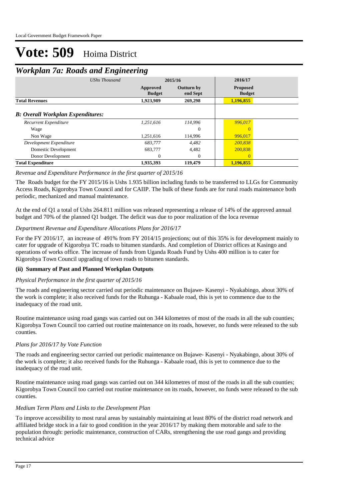## *Workplan 7a: Roads and Engineering*

| -                                        |                      |                           |                               |                                  |  |
|------------------------------------------|----------------------|---------------------------|-------------------------------|----------------------------------|--|
|                                          | <b>UShs Thousand</b> | 2015/16                   |                               | 2016/17                          |  |
|                                          |                      | Approved<br><b>Budget</b> | <b>Outturn by</b><br>end Sept | <b>Proposed</b><br><b>Budget</b> |  |
| <b>Total Revenues</b>                    |                      | 1,923,989                 | 269,298                       | 1,196,855                        |  |
| <b>B: Overall Workplan Expenditures:</b> |                      |                           |                               |                                  |  |
| Recurrent Expenditure                    |                      | 1.251.616                 | 114.996                       | 996,017                          |  |
| Wage                                     |                      |                           | $\theta$                      |                                  |  |
| Non Wage                                 |                      | 1,251,616                 | 114,996                       | 996,017                          |  |
| Development Expenditure                  |                      | 683,777                   | 4,482                         | 200,838                          |  |
| Domestic Development                     |                      | 683,777                   | 4,482                         | 200,838                          |  |
| Donor Development                        |                      | $\Omega$                  | $\Omega$                      | $\Omega$                         |  |
| <b>Total Expenditure</b>                 |                      | 1,935,393                 | 119,479                       | 1,196,855                        |  |

### *Revenue and Expenditure Performance in the first quarter of 2015/16*

The Roads budget for the FY 2015/16 is Ushs 1.935 billion including funds to be transferred to LLGs for Community Access Roads, Kigorobya Town Council and for CAIIP. The bulk of these funds are for rural roads maintenance both periodic, mechanized and manual maintenance.

At the end of Q1 a total of Ushs 264.811 million was released representing a release of 14% of the approved annual budget and 70% of the planned Q1 budget. The deficit was due to poor realization of the loca revenue

### *Department Revenue and Expenditure Allocations Plans for 2016/17*

For the FY 2016/17, an increase of 491% from FY 2014/15 projections; out of this 35% is for development mainly to cater for upgrade of Kigorobya TC roads to bitumen standards. And completion of District offices at Kasingo and operations of works office. The increase of funds from Uganda Roads Fund by Ushs 400 million is to cater for Kigorobya Town Council upgrading of town roads to bitumen standards.

### **(ii) Summary of Past and Planned Workplan Outputs**

#### *Physical Performance in the first quarter of 2015/16*

The roads and engineering sector carried out periodic maintenance on Bujawe- Kasenyi - Nyakabingo, about 30% of the work is complete; it also received funds for the Ruhunga - Kabaale road, this is yet to commence due to the inadequacy of the road unit.

Routine maintenance using road gangs was carried out on 344 kilometres of most of the roads in all the sub counties; Kigorobya Town Council too carried out routine maintenance on its roads, however, no funds were released to the sub counties.

### *Plans for 2016/17 by Vote Function*

The roads and engineering sector carried out periodic maintenance on Bujawe- Kasenyi - Nyakabingo, about 30% of the work is complete; it also received funds for the Ruhunga - Kabaale road, this is yet to commence due to the inadequacy of the road unit.

Routine maintenance using road gangs was carried out on 344 kilometres of most of the roads in all the sub counties; Kigorobya Town Council too carried out routine maintenance on its roads, however, no funds were released to the sub counties.

### *Medium Term Plans and Links to the Development Plan*

To improve accessibility to most rural areas by sustainably maintaining at least 80% of the district road network and affiliated bridge stock in a fair to good condition in the year 2016/17 by making them motorable and safe to the population through: periodic maintenance, construction of CARs, strengthening the use road gangs and providing technical advice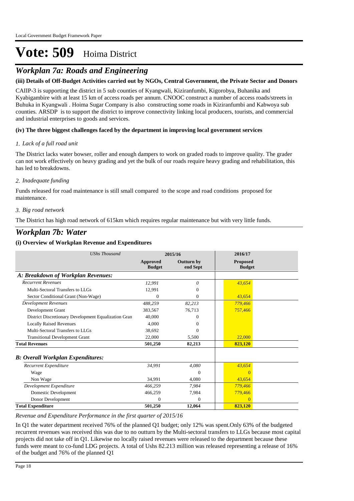# *Workplan 7a: Roads and Engineering*

### **(iii) Details of Off-Budget Activities carried out by NGOs, Central Government, the Private Sector and Donors**

CAIIP-3 is supporting the district in 5 sub counties of Kyangwali, Kiziranfumbi, Kigorobya, Buhanika and Kyabigambire with at least 15 km of access roads per annum. CNOOC construct a number of access roads/streets in Buhuka in Kyangwali . Hoima Sugar Company is also constructing some roads in Kiziranfumbi and Kabwoya sub counties. ARSDP is to support the district to improve connectivity linking local producers, tourists, and commercial and industrial enterprises to goods and services.

### **(iv) The three biggest challenges faced by the department in improving local government services**

### *Lack of a full road unit 1.*

The District lacks water bowser, roller and enough dampers to work on graded roads to improve quality. The grader can not work effectively on heavy grading and yet the bulk of our roads require heavy grading and rehabilitation, this has led to breakdowns.

### *Inadequate funding 2.*

Funds released for road maintenance is still small compared to the scope and road conditions proposed for maintenance.

### *Big road network 3.*

The District has high road network of 615km which requires regular maintenance but with very little funds.

# *Workplan 7b: Water*

### **(i) Overview of Workplan Revenue and Expenditures**

| <b>UShs Thousand</b>                                 | 2015/16                          |                        | 2016/17                          |  |
|------------------------------------------------------|----------------------------------|------------------------|----------------------------------|--|
|                                                      | <b>Approved</b><br><b>Budget</b> | Outturn by<br>end Sept | <b>Proposed</b><br><b>Budget</b> |  |
| A: Breakdown of Workplan Revenues:                   |                                  |                        |                                  |  |
| <b>Recurrent Revenues</b>                            | 12,991                           | 0                      | 43,654                           |  |
| Multi-Sectoral Transfers to LLGs                     | 12,991                           |                        |                                  |  |
| Sector Conditional Grant (Non-Wage)                  | 0                                | 0                      | 43,654                           |  |
| <b>Development Revenues</b>                          | 488,259                          | 82,213                 | 779,466                          |  |
| Development Grant                                    | 383,567                          | 76.713                 | 757,466                          |  |
| District Discretionary Development Equalization Gran | 40,000                           | 0                      |                                  |  |
| <b>Locally Raised Revenues</b>                       | 4.000                            | 0                      |                                  |  |
| Multi-Sectoral Transfers to LLGs                     | 38,692                           | $\Omega$               |                                  |  |
| <b>Transitional Development Grant</b>                | 22,000                           | 5,500                  | 22,000                           |  |
| <b>Total Revenues</b>                                | 501,250                          | 82,213                 | 823,120                          |  |
| <b>B: Overall Workplan Expenditures:</b>             |                                  |                        |                                  |  |
| Recurrent Expenditure                                | 34,991                           | 4,080                  | 43,654                           |  |
| Wage                                                 |                                  | $\Omega$               | $\Omega$                         |  |
| Non Wage                                             | 34.991                           | 4.080                  | 43.654                           |  |
| Development Expenditure                              | 466,259                          | 7,984                  | 779,466                          |  |
| Domestic Development                                 | 466,259                          | 7,984                  | 779,466                          |  |
| Donor Development                                    | $\Omega$                         | $\overline{0}$         | $\overline{0}$                   |  |
| <b>Total Expenditure</b>                             | 501,250                          | 12,064                 | 823,120                          |  |

### *Revenue and Expenditure Performance in the first quarter of 2015/16*

In Q1 the water department received 76% of the planned Q1 budget; only 12% was spent.Only 63% of the budgeted recurrent revenues was received this was due to no outturn by the Multi-sectoral transfers to LLGs because most capital projects did not take off in Q1. Likewise no locally raised revenues were released to the department because these funds were meant to co-fund LDG projects. A total of Ushs 82.213 million was released representing a release of 16% of the budget and 76% of the planned Q1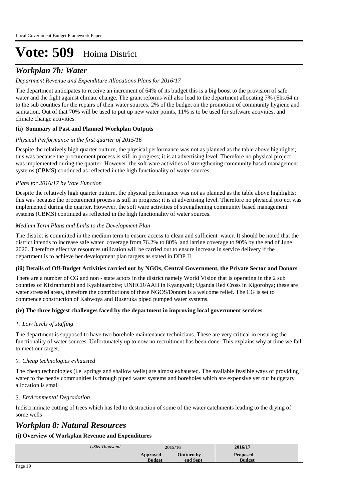## *Workplan 7b: Water*

### *Department Revenue and Expenditure Allocations Plans for 2016/17*

The department anticipates to receive an increment of 64% of its budget this is a big boost to the provision of safe water and the fight against climate change. The grant reforms will also lead to the department allocating 7% (Shs.64 m to the sub counties for the repairs of their water sources. 2% of the budget on the promotion of community hygiene and sanitation. Out of that 70% will be used to put up new water points, 11% is to be used for software activities, and climate change activities.

### **(ii) Summary of Past and Planned Workplan Outputs**

### *Physical Performance in the first quarter of 2015/16*

Despite the relatively high quarter outturn, the physical performance was not as planned as the table above highlights; this was because the procurement process is still in progress; it is at advertising level. Therefore no physical project was implemented during the quarter. However, the soft ware activities of strengthening community based management systems (CBMS) continued as reflected in the high functionality of water sources.

### *Plans for 2016/17 by Vote Function*

Despite the relatively high quarter outturn, the physical performance was not as planned as the table above highlights; this was because the procurement process is still in progress; it is at advertising level. Therefore no physical project was implemented during the quarter. However, the soft ware activities of strengthening community based management systems (CBMS) continued as reflected in the high functionality of water sources.

### *Medium Term Plans and Links to the Development Plan*

The district is committed in the medium term to ensure access to clean and sufficient water. It should be noted that the district intends to increase safe water coverage from 76.2% to 80% and latrine coverage to 90% by the end of June 2020. Therefore effective resources utilization will be carried out to ensure increase in service delivery if the department is to achieve her development plan targets as stated in DDP II

### **(iii) Details of Off-Budget Activities carried out by NGOs, Central Government, the Private Sector and Donors**

There are a number of CG and non - state actors in the district namely World Vision that is operating in the 2 sub counties of Kiziranfumbi and Kyabigambire; UNHCR/AAH in Kyangwali; Uganda Red Cross in Kigorobya; these are water stressed areas, therefore the contributions of these NGOS/Donors is a welcome relief. The CG is set to commence construction of Kabwoya and Buseruka piped pumped water systems.

### **(iv) The three biggest challenges faced by the department in improving local government services**

### *Low levels of staffing 1.*

The department is supposed to have two borehole maintenance technicians. These are very critical in ensuring the functionality of water sources. Unfortunately up to now no recruitment has been done. This explains why at time we fail to meet our target.

### *Cheap technologies exhausted 2.*

The cheap technologies (i.e. springs and shallow wells) are almost exhausted. The available feasible ways of providing water to the needy communities is through piped water systems and boreholes which are expensive yet our budgetary allocation is small

### *Environmental Degradation 3.*

Indiscriminate cutting of trees which has led to destruction of some of the water catchments leading to the drying of some wells

## *Workplan 8: Natural Resources*

| UShs Thousand             | 2015/16                | 2016/17                          |
|---------------------------|------------------------|----------------------------------|
| Approved<br><b>Budget</b> | Outturn by<br>end Sept | <b>Proposed</b><br><b>Budget</b> |
|                           |                        |                                  |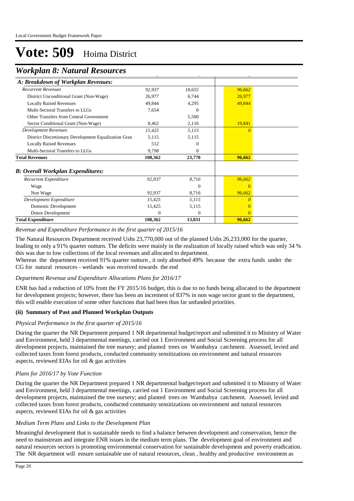## *Workplan 8: Natural Resources*

| A: Breakdown of Workplan Revenues:                   |          |                |          |  |
|------------------------------------------------------|----------|----------------|----------|--|
| <b>Recurrent Revenues</b>                            | 92,937   | 18,655         | 96,662   |  |
| District Unconditional Grant (Non-Wage)              | 26,977   | 6,744          | 26,977   |  |
| <b>Locally Raised Revenues</b>                       | 49,844   | 4,295          | 49,844   |  |
| Multi-Sectoral Transfers to LLGs                     | 7,654    | $\Omega$       |          |  |
| Other Transfers from Central Government              |          | 5,500          |          |  |
| Sector Conditional Grant (Non-Wage)                  | 8,462    | 2,116          | 19,841   |  |
| <b>Development Revenues</b>                          | 15,425   | 5,115          | $\theta$ |  |
| District Discretionary Development Equalization Gran | 5,115    | 5,115          |          |  |
| <b>Locally Raised Revenues</b>                       | 512      | 0              |          |  |
| Multi-Sectoral Transfers to LLGs                     | 9,798    | $\Omega$       |          |  |
| <b>Total Revenues</b>                                | 108,362  | 23,770         | 96,662   |  |
| <b>B</b> : Overall Workplan Expenditures:            |          |                |          |  |
| <b>Recurrent Expenditure</b>                         | 92,937   | 8,716          | 96,662   |  |
| Wage                                                 |          | $\Omega$       | $\Omega$ |  |
| Non Wage                                             | 92,937   | 8,716          | 96,662   |  |
| Development Expenditure                              | 15,425   | 5,115          | $\theta$ |  |
| Domestic Development                                 | 15,425   | 5,115          |          |  |
| Donor Development                                    | $\Omega$ | $\overline{0}$ | $\Omega$ |  |
| <b>Total Expenditure</b>                             | 108,362  | 13,831         | 96,662   |  |

#### *Revenue and Expenditure Performance in the first quarter of 2015/16*

The Natural Resources Department received Ushs 23,770,000 out of the planned Ushs 26,233,000 for the quarter, leading to only a 91% quarter outturn. The deficits were mainly in the realization of locally raised which was only 34 % this was due to low collections of the local revenues and allocated to department.

Whereas the department received 91% quarter outturn, it only absorbed 49% because the extra funds under the CG for natural resources - wetlands was received towards the end

### *Department Revenue and Expenditure Allocations Plans for 2016/17*

ENR has had a reduction of 10% from the FY 2015/16 budget, this is due to no funds being allocated to the department for development projects; however, there has been an increment of 837% in non wage sector grant to the department, this will enable execution of some other functions that had been thus far unfunded priorities.

### **(ii) Summary of Past and Planned Workplan Outputs**

### *Physical Performance in the first quarter of 2015/16*

During the quarter the NR Department prepared 1 NR departmental budget/report and submitted it to Ministry of Water and Environment, held 3 departmental meetings, carried out 1 Environment and Social Screening process for all development projects, maintained the tree nursery; and planted trees on Wambabya catchment. Assessed, levied and collected taxes from forest products, conducted community sensitizations on environment and natural resources aspects, reviewed EIAs for oil & gas activities

### *Plans for 2016/17 by Vote Function*

During the quarter the NR Department prepared 1 NR departmental budget/report and submitted it to Ministry of Water and Environment, held 3 departmental meetings, carried out 1 Environment and Social Screening process for all development projects, maintained the tree nursery; and planted trees on Wambabya catchment. Assessed, levied and collected taxes from forest products, conducted community sensitizations on environment and natural resources aspects, reviewed EIAs for oil & gas activities

### *Medium Term Plans and Links to the Development Plan*

Meaningful development that is sustainable needs to find a balance between development and conservation, hence the need to mainstream and integrate ENR issues in the medium term plans. The development goal of environment and natural resources sectors is promoting environmental conservation for sustainable development and poverty eradication. The NR department will ensure sustainable use of natural resources, clean , healthy and productive environment as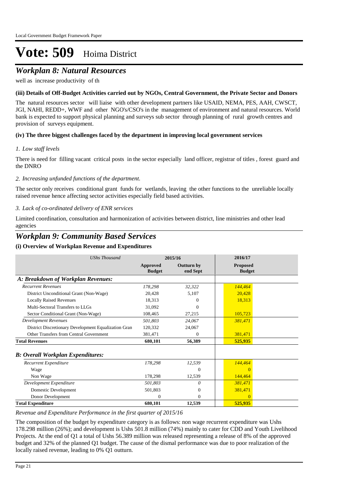## *Workplan 8: Natural Resources*

well as increase productivity of th

### **(iii) Details of Off-Budget Activities carried out by NGOs, Central Government, the Private Sector and Donors**

The natural resources sector will liaise with other development partners like USAID, NEMA, PES, AAH, CWSCT, JGI, NAHI, REDD+, WWF and other NGO's/CSO's in the management of environment and natural resources. World bank is expected to support physical planning and surveys sub sector through planning of rural growth centres and provision of surveys equipment.

### **(iv) The three biggest challenges faced by the department in improving local government services**

### *Low staff levels 1.*

There is need for filling vacant critical posts in the sector especially land officer, registrar of titles , forest guard and the DNRO

### *Increasing unfunded functions of the department. 2.*

The sector only receives conditional grant funds for wetlands, leaving the other functions to the unreliable locally raised revenue hence affecting sector activities especially field based activities.

### *Lack of co-ordinated delivery of ENR services 3.*

Limited coordination, consultation and harmonization of activities between district, line ministries and other lead agencies

## *Workplan 9: Community Based Services*

### **(i) Overview of Workplan Revenue and Expenditures**

| <b>UShs Thousand</b>                                 | 2015/16                   |                               | 2016/17                          |  |
|------------------------------------------------------|---------------------------|-------------------------------|----------------------------------|--|
|                                                      | Approved<br><b>Budget</b> | <b>Outturn by</b><br>end Sept | <b>Proposed</b><br><b>Budget</b> |  |
| A: Breakdown of Workplan Revenues:                   |                           |                               |                                  |  |
| <b>Recurrent Revenues</b>                            | 178,298                   | 32,322                        | 144,464                          |  |
| District Unconditional Grant (Non-Wage)              | 20,428                    | 5,107                         | 20,428                           |  |
| <b>Locally Raised Revenues</b>                       | 18,313                    | 0                             | 18,313                           |  |
| Multi-Sectoral Transfers to LLGs                     | 31,092                    | $\Omega$                      |                                  |  |
| Sector Conditional Grant (Non-Wage)                  | 108,465                   | 27,215                        | 105,723                          |  |
| <b>Development Revenues</b>                          | 501,803                   | 24,067                        | 381,471                          |  |
| District Discretionary Development Equalization Gran | 120,332                   | 24,067                        |                                  |  |
| Other Transfers from Central Government              | 381,471                   | $\Omega$                      | 381,471                          |  |
| <b>Total Revenues</b>                                | 680,101                   | 56,389                        | 525,935                          |  |
| <b>B: Overall Workplan Expenditures:</b>             |                           |                               |                                  |  |
| Recurrent Expenditure                                | 178,298                   | 12,539                        | 144,464                          |  |
| Wage                                                 |                           | $\Omega$                      | $\Omega$                         |  |
| Non Wage                                             | 178,298                   | 12,539                        | 144,464                          |  |
| Development Expenditure                              | 501,803                   | $\Omega$                      | 381,471                          |  |
| Domestic Development                                 | 501,803                   | $\overline{0}$                | 381,471                          |  |
| Donor Development                                    | 0                         | $\overline{0}$                | $\Omega$                         |  |
| <b>Total Expenditure</b>                             | 680,101                   | 12,539                        | 525,935                          |  |

### *Revenue and Expenditure Performance in the first quarter of 2015/16*

The composition of the budget by expenditure category is as follows: non wage recurrent expenditure was Ushs 178.298 million (26%); and development is Ushs 501.8 million (74%) mainly to cater for CDD and Youth Livelihood Projects. At the end of Q1 a total of Ushs 56.389 million was released representing a release of 8% of the approved budget and 32% of the planned Q1 budget. The cause of the dismal performance was due to poor realization of the locally raised revenue, leading to 0% Q1 outturn.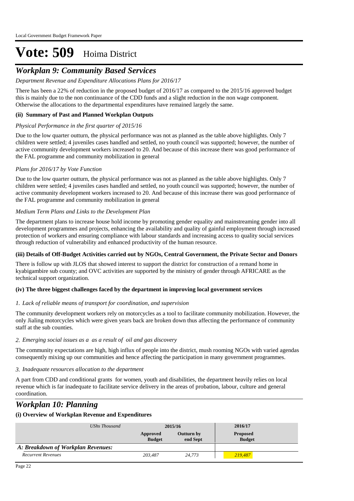# *Workplan 9: Community Based Services*

### *Department Revenue and Expenditure Allocations Plans for 2016/17*

There has been a 22% of reduction in the proposed budget of 2016/17 as compared to the 2015/16 approved budget this is mainly due to the non continuance of the CDD funds and a slight reduction in the non wage component. Otherwise the allocations to the departmental expenditures have remained largely the same.

### **(ii) Summary of Past and Planned Workplan Outputs**

### *Physical Performance in the first quarter of 2015/16*

Due to the low quarter outturn, the physical performance was not as planned as the table above highlights. Only 7 children were settled; 4 juveniles cases handled and settled, no youth council was supported; however, the number of active community development workers increased to 20. And because of this increase there was good performance of the FAL programme and community mobilization in general

### *Plans for 2016/17 by Vote Function*

Due to the low quarter outturn, the physical performance was not as planned as the table above highlights. Only 7 children were settled; 4 juveniles cases handled and settled, no youth council was supported; however, the number of active community development workers increased to 20. And because of this increase there was good performance of the FAL programme and community mobilization in general

### *Medium Term Plans and Links to the Development Plan*

The department plans to increase house hold income by promoting gender equality and mainstreaming gender into all development programmes and projects, enhancing the availability and quality of gainful employment through increased protection of workers and ensuring compliance with labour standards and increasing access to quality social services through reduction of vulnerability and enhanced productivity of the human resource.

### **(iii) Details of Off-Budget Activities carried out by NGOs, Central Government, the Private Sector and Donors**

There is follow up with JLOS that showed interest to support the district for construction of a remand home in kyabigambire sub county; and OVC activities are supported by the ministry of gender through AFRICARE as the technical support organization.

### **(iv) The three biggest challenges faced by the department in improving local government services**

### *Lack of reliable means of transport for coordination, and supervision 1.*

The community development workers rely on motorcycles as a tool to facilitate community mobilization. However, the only Jialing motorcycles which were given years back are broken down thus affecting the performance of community staff at the sub counties.

### *Emerging social issues as a as a result of oil and gas discovery 2.*

The community expectations are high, high influx of people into the district, mush rooming NGOs with varied agendas consequently mixing up our communities and hence affecting the participation in many government programmes.

### *Inadequate resources allocation to the department 3.*

A part from CDD and conditional grants for women, youth and disabilities, the department heavily relies on local revenue which is far inadequate to facilitate service delivery in the areas of probation, labour, culture and general coordination.

# *Workplan 10: Planning*

| UShs Thousand                      | 2015/16                   |                        | 2016/17                          |
|------------------------------------|---------------------------|------------------------|----------------------------------|
|                                    | Approved<br><b>Budget</b> | Outturn by<br>end Sept | <b>Proposed</b><br><b>Budget</b> |
| A: Breakdown of Workplan Revenues: |                           |                        |                                  |
| <b>Recurrent Revenues</b>          | 203,487                   | 24.773                 | 219,487                          |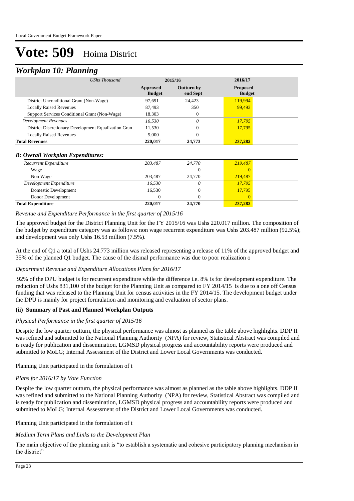## *Workplan 10: Planning*

| <b>UShs Thousand</b>                                 | 2015/16                   |                               | 2016/17                          |
|------------------------------------------------------|---------------------------|-------------------------------|----------------------------------|
|                                                      | Approved<br><b>Budget</b> | <b>Outturn by</b><br>end Sept | <b>Proposed</b><br><b>Budget</b> |
| District Unconditional Grant (Non-Wage)              | 97,691                    | 24,423                        | 119,994                          |
| <b>Locally Raised Revenues</b>                       | 87,493                    | 350                           | 99,493                           |
| Support Services Conditional Grant (Non-Wage)        | 18,303                    | $\theta$                      |                                  |
| <b>Development Revenues</b>                          | 16,530                    | 0                             | 17,795                           |
| District Discretionary Development Equalization Gran | 11,530                    | 0                             | 17,795                           |
| <b>Locally Raised Revenues</b>                       | 5,000                     | 0                             |                                  |
| <b>Total Revenues</b>                                | 220,017                   | 24,773                        | 237,282                          |
| <b>B: Overall Workplan Expenditures:</b>             |                           |                               |                                  |
| Recurrent Expenditure                                | 203,487                   | 24,770                        | 219,487                          |
| Wage                                                 |                           | $\overline{0}$                |                                  |
| Non Wage                                             | 203,487                   | 24,770                        | 219,487                          |
| Development Expenditure                              | 16,530                    | 0                             | 17,795                           |
| Domestic Development                                 | 16,530                    | $\mathbf{0}$                  | 17,795                           |
| Donor Development                                    | 0                         | $\Omega$                      | $\Omega$                         |
| <b>Total Expenditure</b>                             | 220,017                   | 24,770                        | 237,282                          |

*Revenue and Expenditure Performance in the first quarter of 2015/16*

The approved budget for the District Planning Unit for the FY 2015/16 was Ushs 220.017 million. The composition of the budget by expenditure category was as follows: non wage recurrent expenditure was Ushs 203.487 million (92.5%); and development was only Ushs 16.53 million (7.5%).

At the end of Q1 a total of Ushs 24.773 million was released representing a release of 11% of the approved budget and 35% of the planned Q1 budget. The cause of the dismal performance was due to poor realization o

### *Department Revenue and Expenditure Allocations Plans for 2016/17*

 92% of the DPU budget is for recurrent expenditure while the difference i.e. 8% is for development expenditure. The reduction of Ushs 831,100 of the budget for the Planning Unit as compared to FY 2014/15 is due to a one off Census funding that was released to the Planning Unit for census activities in the FY 2014/15. The development budget under the DPU is mainly for project formulation and monitoring and evaluation of sector plans.

### **(ii) Summary of Past and Planned Workplan Outputs**

#### *Physical Performance in the first quarter of 2015/16*

Despite the low quarter outturn, the physical performance was almost as planned as the table above highlights. DDP II was refined and submitted to the National Planning Authority (NPA) for review, Statistical Abstract was compiled and is ready for publication and dissemination, LGMSD physical progress and accountability reports were produced and submitted to MoLG; Internal Assessment of the District and Lower Local Governments was conducted.

Planning Unit participated in the formulation of t

### *Plans for 2016/17 by Vote Function*

Despite the low quarter outturn, the physical performance was almost as planned as the table above highlights. DDP II was refined and submitted to the National Planning Authority (NPA) for review, Statistical Abstract was compiled and is ready for publication and dissemination, LGMSD physical progress and accountability reports were produced and submitted to MoLG; Internal Assessment of the District and Lower Local Governments was conducted.

#### Planning Unit participated in the formulation of t

### *Medium Term Plans and Links to the Development Plan*

The main objective of the planning unit is "to establish a systematic and cohesive participatory planning mechanism in the district"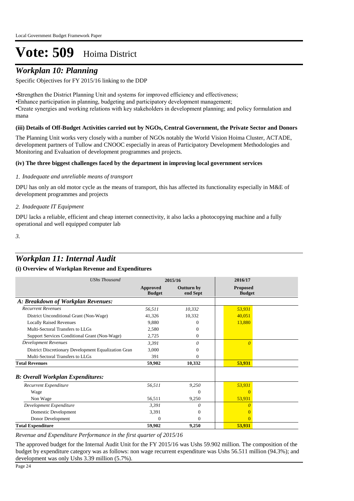# *Workplan 10: Planning*

 Specific Objectives for FY 2015/16 linking to the DDP

• Strengthen the District Planning Unit and systems for improved efficiency and effectiveness; • Enhance participation in planning, budgeting and participatory development management; • Create synergies and working relations with key stakeholders in development planning; and policy formulation and mana

### **(iii) Details of Off-Budget Activities carried out by NGOs, Central Government, the Private Sector and Donors**

The Planning Unit works very closely with a number of NGOs notably the World Vision Hoima Cluster, ACTADE, development partners of Tullow and CNOOC especially in areas of Participatory Development Methodologies and Monitoring and Evaluation of development programmes and projects.

### **(iv) The three biggest challenges faced by the department in improving local government services**

### *Inadequate and unreliable means of transport 1.*

DPU has only an old motor cycle as the means of transport, this has affected its functionality especially in M&E of development programmes and projects

### *Inadequate IT Equipment 2.*

DPU lacks a reliable, efficient and cheap internet connectivity, it also lacks a photocopying machine and a fully operational and well equipped computer lab

*3.*

## *Workplan 11: Internal Audit*

### **(i) Overview of Workplan Revenue and Expenditures**

| <b>UShs Thousand</b>                                 | 2015/16                   |                               | 2016/17                          |
|------------------------------------------------------|---------------------------|-------------------------------|----------------------------------|
|                                                      | Approved<br><b>Budget</b> | <b>Outturn by</b><br>end Sept | <b>Proposed</b><br><b>Budget</b> |
| A: Breakdown of Workplan Revenues:                   |                           |                               |                                  |
| <b>Recurrent Revenues</b>                            | 56,511                    | 10,332                        | 53,931                           |
| District Unconditional Grant (Non-Wage)              | 41,326                    | 10,332                        | 40,051                           |
| <b>Locally Raised Revenues</b>                       | 9,880                     | 0                             | 13,880                           |
| Multi-Sectoral Transfers to LLGs                     | 2,580                     | 0                             |                                  |
| Support Services Conditional Grant (Non-Wage)        | 2,725                     | $\overline{0}$                |                                  |
| <b>Development Revenues</b>                          | 3,391                     | 0                             | $\Omega$                         |
| District Discretionary Development Equalization Gran | 3,000                     | 0                             |                                  |
| Multi-Sectoral Transfers to LLGs                     | 391                       | $\Omega$                      |                                  |
| <b>Total Revenues</b>                                | 59,902                    | 10,332                        | 53,931                           |
| <b>B</b> : Overall Workplan Expenditures:            |                           |                               |                                  |
| Recurrent Expenditure                                | 56,511                    | 9,250                         | 53,931                           |
| Wage                                                 |                           | $\Omega$                      | $\Omega$                         |
| Non Wage                                             | 56,511                    | 9,250                         | 53,931                           |
| Development Expenditure                              | 3,391                     | 0                             |                                  |
| Domestic Development                                 | 3,391                     | $\mathbf{0}$                  |                                  |
| Donor Development                                    | $\Omega$                  | $\mathbf{0}$                  |                                  |
| <b>Total Expenditure</b>                             | 59,902                    | 9,250                         | 53,931                           |

*Revenue and Expenditure Performance in the first quarter of 2015/16*

The approved budget for the Internal Audit Unit for the FY 2015/16 was Ushs 59.902 million. The composition of the budget by expenditure category was as follows: non wage recurrent expenditure was Ushs 56.511 million (94.3%); and development was only Ushs 3.39 million (5.7%).